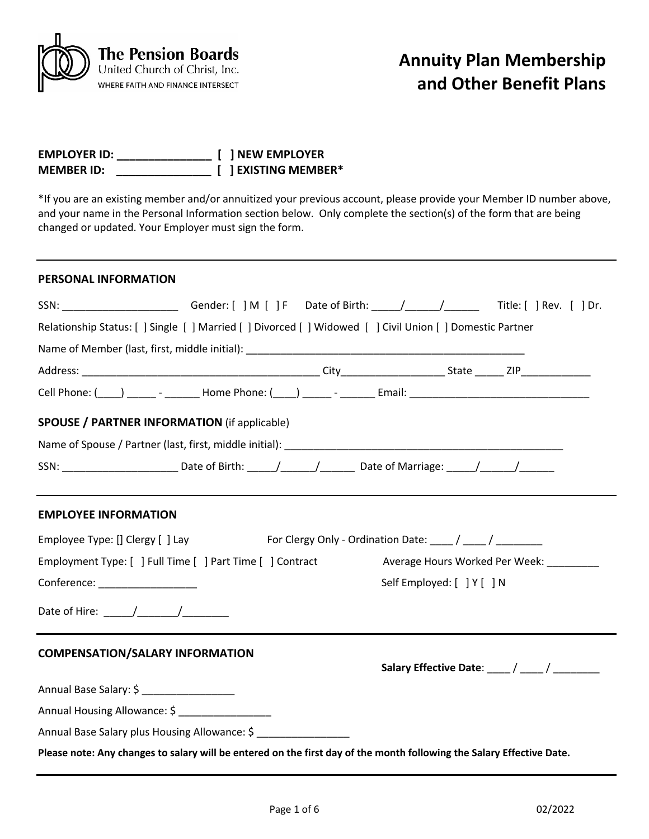

| <b>EMPLOYER ID:</b> |  | [ ] NEW EMPLOYER     |
|---------------------|--|----------------------|
| <b>MEMBER ID:</b>   |  | [ ] EXISTING MEMBER* |

\*If you are an existing member and/or annuitized your previous account, please provide your Member ID number above, and your name in the Personal Information section below. Only complete the section(s) of the form that are being changed or updated. Your Employer must sign the form.

### **PERSONAL INFORMATION**

| SSN: ________________________Gender: [ ] M [ ] F Date of Birth: _____/______/________Title: [ ] Rev. [ ] Dr.          |  |  |                            |                                         |
|-----------------------------------------------------------------------------------------------------------------------|--|--|----------------------------|-----------------------------------------|
| Relationship Status: [ ] Single [ ] Married [ ] Divorced [ ] Widowed [ ] Civil Union [ ] Domestic Partner             |  |  |                            |                                         |
|                                                                                                                       |  |  |                            |                                         |
|                                                                                                                       |  |  |                            |                                         |
|                                                                                                                       |  |  |                            |                                         |
| <b>SPOUSE / PARTNER INFORMATION (if applicable)</b>                                                                   |  |  |                            |                                         |
|                                                                                                                       |  |  |                            |                                         |
| SSN: ______________________________Date of Birth: ______/________/___________Date of Marriage: ______/_______/_______ |  |  |                            |                                         |
| <b>EMPLOYEE INFORMATION</b>                                                                                           |  |  |                            |                                         |
| Employee Type: [] Clergy [] Lay For Clergy Only - Ordination Date: ____ / ____ / _______                              |  |  |                            |                                         |
| Employment Type: [ ] Full Time [ ] Part Time [ ] Contract                                                             |  |  |                            | Average Hours Worked Per Week: ________ |
| Conference: __________________                                                                                        |  |  | Self Employed: [ ] Y [ ] N |                                         |
| Date of Hire: ______/_________/___________                                                                            |  |  |                            |                                         |
| <b>COMPENSATION/SALARY INFORMATION</b>                                                                                |  |  |                            |                                         |
|                                                                                                                       |  |  |                            |                                         |
| Annual Base Salary: \$ ____________________                                                                           |  |  |                            |                                         |
| Annual Housing Allowance: \$ __________________                                                                       |  |  |                            |                                         |
| Annual Base Salary plus Housing Allowance: \$                                                                         |  |  |                            |                                         |
| Please note: Any changes to salary will be entered on the first day of the month following the Salary Effective Date. |  |  |                            |                                         |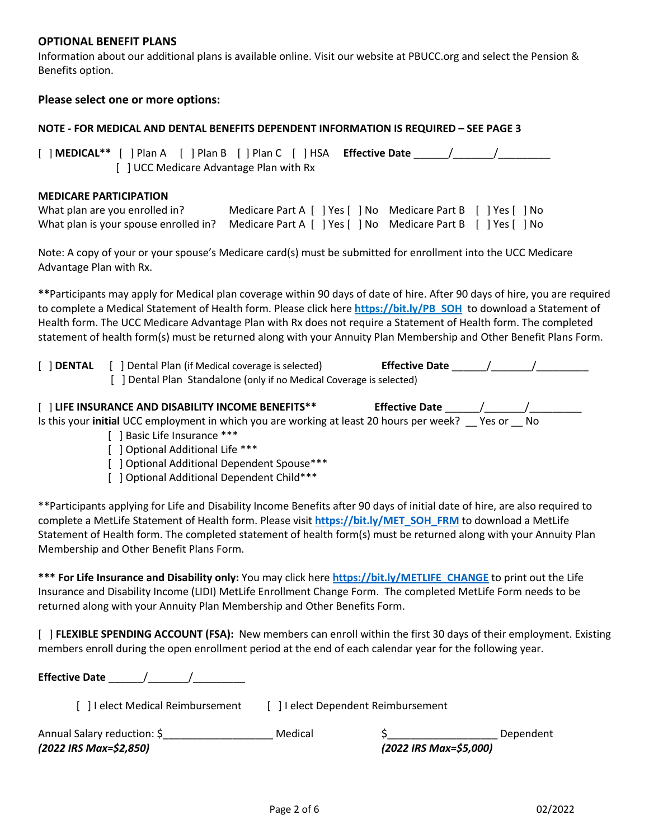## **OPTIONAL BENEFIT PLANS**

Information about our additional plans is available online. Visit our website at PBUCC.org and select the Pension & Benefits option.

### **Please select one or more options:**

#### **NOTE - FOR MEDICAL AND DENTAL BENEFITS DEPENDENT INFORMATION IS REQUIRED – SEE PAGE 3**

[ ] **MEDICAL\*\*** [ ] Plan A [ ] Plan B [ ] Plan C [ ] HSA **Effective Date** \_\_\_\_\_\_/\_\_\_\_\_\_\_/\_\_\_\_\_\_\_\_\_ [ ] UCC Medicare Advantage Plan with Rx

#### **MEDICARE PARTICIPATION**

| What plan are you enrolled in?                                                                      | Medicare Part A [ ] Yes [ ] No Medicare Part B [ ] Yes [ ] No |  |  |
|-----------------------------------------------------------------------------------------------------|---------------------------------------------------------------|--|--|
| What plan is your spouse enrolled in? Medicare Part A [ ] Yes [ ] No Medicare Part B [ ] Yes [ ] No |                                                               |  |  |

Note: A copy of your or your spouse's Medicare card(s) must be submitted for enrollment into the UCC Medicare Advantage Plan with Rx.

**\*\***Participants may apply for Medical plan coverage within 90 days of date of hire. After 90 days of hire, you are required to complete a Medical Statement of Health form. Please click here **https://bit.ly/PB\_SOH** to download a Statement of Health form. The UCC Medicare Advantage Plan with Rx does not require a Statement of Health form. The completed statement of health form(s) must be returned along with your Annuity Plan Membership and Other Benefit Plans Form.

| $[$ ] DENTAL | J Dental Plan (if Medical coverage is selected)                      | <b>Effective Date</b> |
|--------------|----------------------------------------------------------------------|-----------------------|
|              | [ ] Dental Plan Standalone (only if no Medical Coverage is selected) |                       |

| [] LIFE INSURANCE AND DISABILITY INCOME BENEFITS**                                       | <b>Effective Date</b> |        |     |
|------------------------------------------------------------------------------------------|-----------------------|--------|-----|
| Is this your initial UCC employment in which you are working at least 20 hours per week? |                       | Yes or | No. |

- [ ] Basic Life Insurance \*\*\*
- [ ] Optional Additional Life \*\*\*
- [ ] Optional Additional Dependent Spouse\*\*\*
- [ ] Optional Additional Dependent Child\*\*\*

\*\*Participants applying for Life and Disability Income Benefits after 90 days of initial date of hire, are also required to complete a MetLife Statement of Health form. Please visit **https://bit.ly/MET\_SOH\_FRM** to download a MetLife Statement of Health form. The completed statement of health form(s) must be returned along with your Annuity Plan Membership and Other Benefit Plans Form.

**\*\*\* For Life Insurance and Disability only:** You may click here **https://bit.ly/METLIFE\_CHANGE** to print out the Life Insurance and Disability Income (LIDI) MetLife Enrollment Change Form. The completed MetLife Form needs to be returned along with your Annuity Plan Membership and Other Benefits Form.

[ ] **FLEXIBLE SPENDING ACCOUNT (FSA):** New members can enroll within the first 30 days of their employment. Existing members enroll during the open enrollment period at the end of each calendar year for the following year.

**Effective Date** \_\_\_\_\_\_/\_\_\_\_\_\_\_/\_\_\_\_\_\_\_\_\_

| [ ] I elect Medical Reimbursement | [ ] I elect Dependent Reimbursement |
|-----------------------------------|-------------------------------------|
|-----------------------------------|-------------------------------------|

| Annual Salary reduction: \$ | Medical |                        | Dependent |
|-----------------------------|---------|------------------------|-----------|
| (2022 IRS Max=\$2,850)      |         | (2022 IRS Max=\$5,000) |           |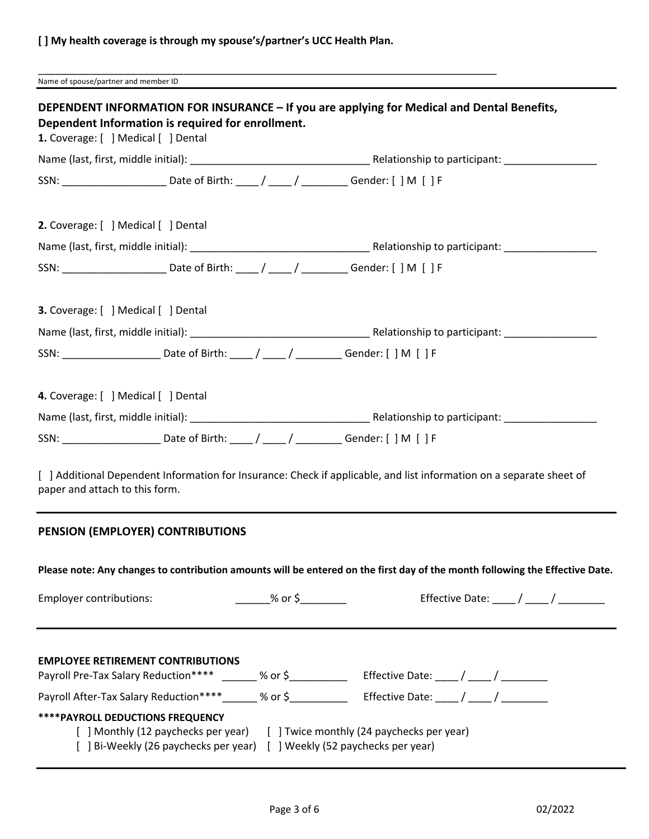# **[ ] My health coverage is through my spouse's/partner's UCC Health Plan.**

\_\_\_\_\_\_\_\_\_\_\_\_\_\_\_\_\_\_\_\_\_\_\_\_\_\_\_\_\_\_\_\_\_\_\_\_\_\_\_\_\_\_\_\_\_\_\_\_\_\_\_\_\_\_\_\_\_\_\_\_\_\_\_\_\_\_\_\_\_\_\_\_\_\_\_\_\_\_\_

Name of spouse/partner and member ID

| 1. Coverage: [ ] Medical [ ] Dental        | Dependent Information is required for enrollment. |                       |                                                                                                                              |
|--------------------------------------------|---------------------------------------------------|-----------------------|------------------------------------------------------------------------------------------------------------------------------|
|                                            |                                                   |                       |                                                                                                                              |
|                                            |                                                   |                       | SSN: ____________________________Date of Birth: _____/ _____/ ____________Gender: [ ] M [ ] F                                |
| 2. Coverage: [ ] Medical [ ] Dental        |                                                   |                       |                                                                                                                              |
|                                            |                                                   |                       |                                                                                                                              |
|                                            |                                                   |                       | SSN: ____________________________Date of Birth: _____/ _____/ ____________Gender: [ ] M [ ] F                                |
| <b>3.</b> Coverage: [ ] Medical [ ] Dental |                                                   |                       |                                                                                                                              |
|                                            |                                                   |                       |                                                                                                                              |
|                                            |                                                   |                       |                                                                                                                              |
| 4. Coverage: [ ] Medical [ ] Dental        |                                                   |                       |                                                                                                                              |
|                                            |                                                   |                       |                                                                                                                              |
|                                            |                                                   |                       | SSN: __________________________________Date of Birth: ______/ _______/ ____________Gender: [ ] M [ ] F                       |
| paper and attach to this form.             |                                                   |                       | [ ] Additional Dependent Information for Insurance: Check if applicable, and list information on a separate sheet of         |
|                                            | PENSION (EMPLOYER) CONTRIBUTIONS                  |                       |                                                                                                                              |
|                                            |                                                   |                       | Please note: Any changes to contribution amounts will be entered on the first day of the month following the Effective Date. |
| <b>Employer contributions:</b>             |                                                   | $\frac{1}{2}$ % or \$ | Effective Date: $\frac{1}{\sqrt{2}}$                                                                                         |
|                                            | <b>EMPLOYEE RETIREMENT CONTRIBUTIONS</b>          |                       | Payroll Pre-Tax Salary Reduction**** _______ % or \$______________ Effective Date: ____ / ____ / _________                   |
|                                            |                                                   |                       | Payroll After-Tax Salary Reduction****______ % or \$____________ Effective Date: ____/ ____/ ________                        |
| **** PAYROLL DEDUCTIONS FREQUENCY          | [ ] Monthly (12 paychecks per year)               |                       | [ ] Twice monthly (24 paychecks per year)<br>[ ] Bi-Weekly (26 paychecks per year) [ ] Weekly (52 paychecks per year)        |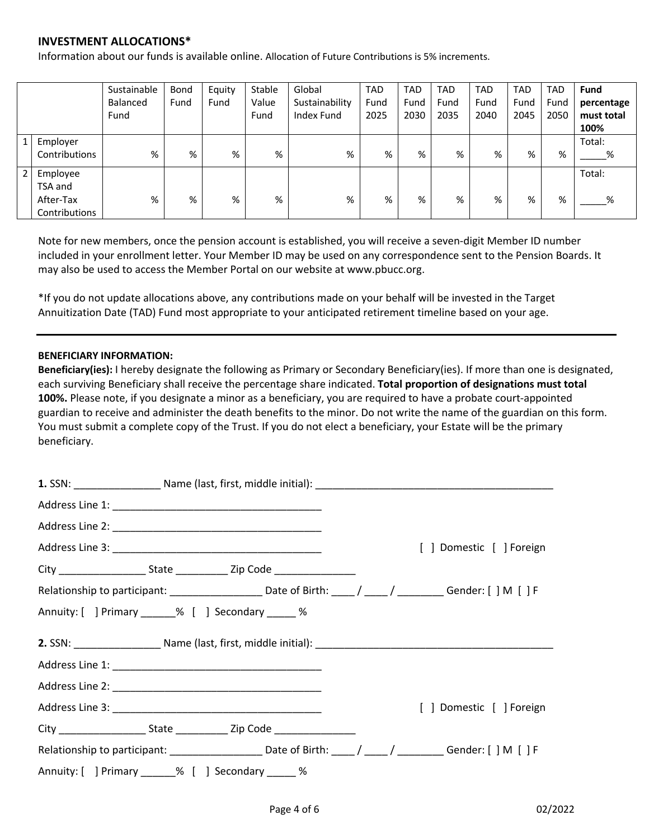## **INVESTMENT ALLOCATIONS\***

Information about our funds is available online. Allocation of Future Contributions is 5% increments.

|                |               | Sustainable<br>Balanced<br>Fund | Bond<br>Fund | Equity<br>Fund | Stable<br>Value<br>Fund | Global<br>Sustainability<br>Index Fund | <b>TAD</b><br>Fund<br>2025 | <b>TAD</b><br>Fund<br>2030 | <b>TAD</b><br>Fund<br>2035 | <b>TAD</b><br>Fund<br>2040 | <b>TAD</b><br>Fund<br>2045 | <b>TAD</b><br>Fund<br>2050 | Fund<br>percentage<br>must total |
|----------------|---------------|---------------------------------|--------------|----------------|-------------------------|----------------------------------------|----------------------------|----------------------------|----------------------------|----------------------------|----------------------------|----------------------------|----------------------------------|
|                |               |                                 |              |                |                         |                                        |                            |                            |                            |                            |                            |                            | 100%                             |
|                | Employer      |                                 |              |                |                         |                                        |                            |                            |                            |                            |                            |                            | Total:                           |
|                | Contributions | %                               | %            | %              | %                       | %                                      | %                          | %                          | %                          | %                          | %                          | %                          | %                                |
| $\overline{2}$ | Employee      |                                 |              |                |                         |                                        |                            |                            |                            |                            |                            |                            | Total:                           |
|                | TSA and       |                                 |              |                |                         |                                        |                            |                            |                            |                            |                            |                            |                                  |
|                | After-Tax     | %                               | %            | %              | %                       | %                                      | %                          | %                          | %                          | %                          | %                          | %                          | %                                |
|                | Contributions |                                 |              |                |                         |                                        |                            |                            |                            |                            |                            |                            |                                  |

Note for new members, once the pension account is established, you will receive a seven-digit Member ID number included in your enrollment letter. Your Member ID may be used on any correspondence sent to the Pension Boards. It may also be used to access the Member Portal on our website at www.pbucc.org.

\*If you do not update allocations above, any contributions made on your behalf will be invested in the Target Annuitization Date (TAD) Fund most appropriate to your anticipated retirement timeline based on your age.

#### **BENEFICIARY INFORMATION:**

**Beneficiary(ies):** I hereby designate the following as Primary or Secondary Beneficiary(ies). If more than one is designated, each surviving Beneficiary shall receive the percentage share indicated. **Total proportion of designations must total 100%.** Please note, if you designate a minor as a beneficiary, you are required to have a probate court-appointed guardian to receive and administer the death benefits to the minor. Do not write the name of the guardian on this form. You must submit a complete copy of the Trust. If you do not elect a beneficiary, your Estate will be the primary beneficiary.

|                                                    |  | [ ] Domestic [ ] Foreign                                                                                      |
|----------------------------------------------------|--|---------------------------------------------------------------------------------------------------------------|
|                                                    |  |                                                                                                               |
|                                                    |  | Relationship to participant: ______________________Date of Birth: _____/ _____/ __________Gender: [ ] M [ ] F |
| Annuity: [ ] Primary ______% [ ] Secondary _____ % |  |                                                                                                               |
|                                                    |  |                                                                                                               |
|                                                    |  |                                                                                                               |
|                                                    |  |                                                                                                               |
|                                                    |  | [ ] Domestic [ ] Foreign                                                                                      |
|                                                    |  |                                                                                                               |
|                                                    |  | Relationship to participant: ______________________Date of Birth: _____/ _____/ _________Gender: [ ] M [ ] F  |
| Annuity: [ ] Primary ______% [ ] Secondary _____ % |  |                                                                                                               |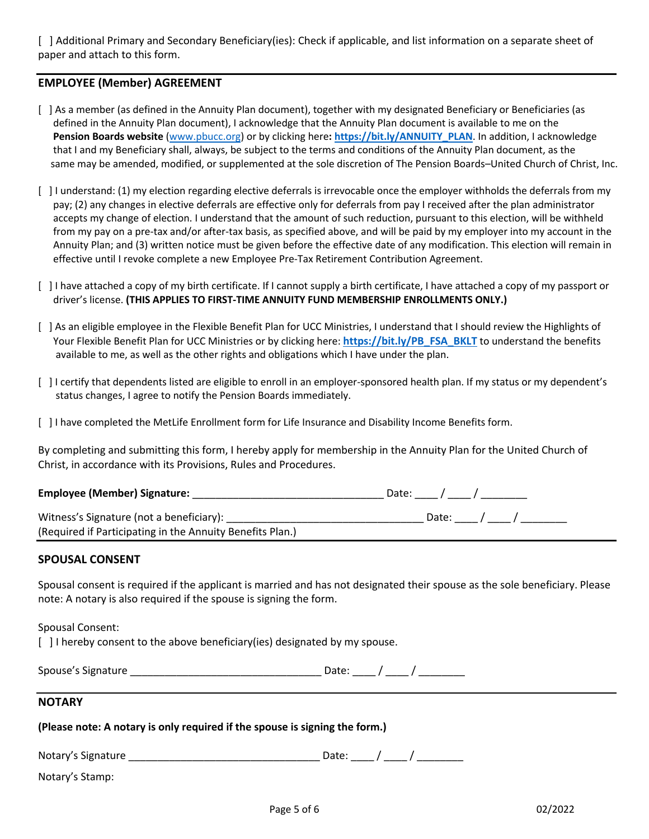[ ] Additional Primary and Secondary Beneficiary(ies): Check if applicable, and list information on a separate sheet of paper and attach to this form.

## **EMPLOYEE (Member) AGREEMENT**

- [ ] As a member (as defined in the Annuity Plan document), together with my designated Beneficiary or Beneficiaries (as defined in the Annuity Plan document), I acknowledge that the Annuity Plan document is available to me on the **Pension Boards website** (www.pbucc.org) or by clicking here**: https://bit.ly/ANNUITY\_PLAN**. In addition, I acknowledge that I and my Beneficiary shall, always, be subject to the terms and conditions of the Annuity Plan document, as the same may be amended, modified, or supplemented at the sole discretion of The Pension Boards–United Church of Christ, Inc.
- [ ] I understand: (1) my election regarding elective deferrals is irrevocable once the employer withholds the deferrals from my pay; (2) any changes in elective deferrals are effective only for deferrals from pay I received after the plan administrator accepts my change of election. I understand that the amount of such reduction, pursuant to this election, will be withheld from my pay on a pre-tax and/or after-tax basis, as specified above, and will be paid by my employer into my account in the Annuity Plan; and (3) written notice must be given before the effective date of any modification. This election will remain in effective until I revoke complete a new Employee Pre-Tax Retirement Contribution Agreement.
- [ ] I have attached a copy of my birth certificate. If I cannot supply a birth certificate, I have attached a copy of my passport or driver's license. **(THIS APPLIES TO FIRST-TIME ANNUITY FUND MEMBERSHIP ENROLLMENTS ONLY.)**
- [ ] As an eligible employee in the Flexible Benefit Plan for UCC Ministries, I understand that I should review the Highlights of Your Flexible Benefit Plan for UCC Ministries or by clicking here: **https://bit.ly/PB\_FSA\_BKLT** to understand the benefits available to me, as well as the other rights and obligations which I have under the plan.
- [ ] I certify that dependents listed are eligible to enroll in an employer-sponsored health plan. If my status or my dependent's status changes, I agree to notify the Pension Boards immediately.
- [ ] I have completed the MetLife Enrollment form for Life Insurance and Disability Income Benefits form.

By completing and submitting this form, I hereby apply for membership in the Annuity Plan for the United Church of Christ, in accordance with its Provisions, Rules and Procedures.

| <b>Employee (Member) Signature:</b>                       | Date: Date: |
|-----------------------------------------------------------|-------------|
| Witness's Signature (not a beneficiary):                  | Date: /     |
| (Required if Participating in the Annuity Benefits Plan.) |             |

### **SPOUSAL CONSENT**

Spousal consent is required if the applicant is married and has not designated their spouse as the sole beneficiary. Please note: A notary is also required if the spouse is signing the form.

Spousal Consent:

[] I hereby consent to the above beneficiary(ies) designated by my spouse.

| Spouse's Signature |  |  |  |  |
|--------------------|--|--|--|--|
|--------------------|--|--|--|--|

### **NOTARY**

| (Please note: A notary is only required if the spouse is signing the form.) |  |  |  |
|-----------------------------------------------------------------------------|--|--|--|
|-----------------------------------------------------------------------------|--|--|--|

| Notary's Sig<br>Signature |  |  |  |  |
|---------------------------|--|--|--|--|
|---------------------------|--|--|--|--|

Notary's Stamp: